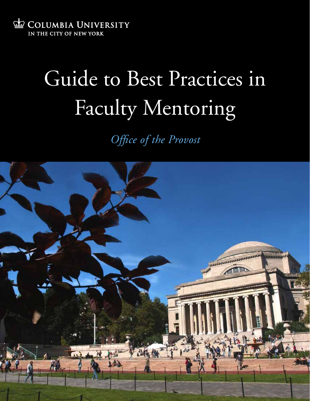

# Guide to Best Practices in Faculty Mentoring

*Office of the Provost*

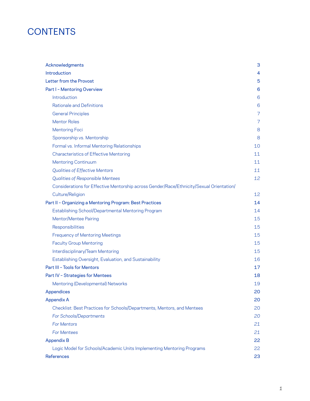# **CONTENTS**

| Acknowledgments                                                                          | 3  |
|------------------------------------------------------------------------------------------|----|
| Introduction                                                                             | 4  |
| Letter from the Provost                                                                  | 5  |
| Part I - Mentoring Overview                                                              | 6  |
| Introduction                                                                             | 6  |
| <b>Rationale and Definitions</b>                                                         | 6  |
| <b>General Principles</b>                                                                | 7  |
| <b>Mentor Roles</b>                                                                      | 7  |
| <b>Mentoring Foci</b>                                                                    | 8  |
| Sponsorship vs. Mentorship                                                               | 8  |
| Formal vs. Informal Mentoring Relationships                                              | 10 |
| <b>Characteristics of Effective Mentoring</b>                                            | 11 |
| <b>Mentoring Continuum</b>                                                               | 11 |
| <b>Qualities of Effective Mentors</b>                                                    | 11 |
| <b>Qualities of Responsible Mentees</b>                                                  | 12 |
| Considerations for Effective Mentorship across Gender/Race/Ethnicity/Sexual Orientation/ |    |
| Culture/Religion                                                                         | 12 |
| Part II - Organizing a Mentoring Program: Best Practices                                 | 14 |
| Establishing School/Departmental Mentoring Program                                       | 14 |
| Mentor/Mentee Pairing                                                                    | 15 |
| Responsibilities                                                                         | 15 |
| <b>Frequency of Mentoring Meetings</b>                                                   | 15 |
| <b>Faculty Group Mentoring</b>                                                           | 15 |
| Interdisciplinary/Team Mentoring                                                         | 15 |
| Establishing Oversight, Evaluation, and Sustainability                                   | 16 |
| Part III - Tools for Mentors                                                             | 17 |
| Part IV - Strategies for Mentees                                                         | 18 |
| Mentoring (Developmental) Networks                                                       | 19 |
| Appendices                                                                               | 20 |
| <b>Appendix A</b>                                                                        | 20 |
| Checklist: Best Practices for Schools/Departments, Mentors, and Mentees                  | 20 |
| For Schools/Departments                                                                  | 20 |
| <b>For Mentors</b>                                                                       | 21 |
| <b>For Mentees</b>                                                                       | 21 |
| <b>Appendix B</b>                                                                        | 22 |
| Logic Model for Schools/Academic Units Implementing Mentoring Programs                   | 22 |
| <b>References</b>                                                                        | 23 |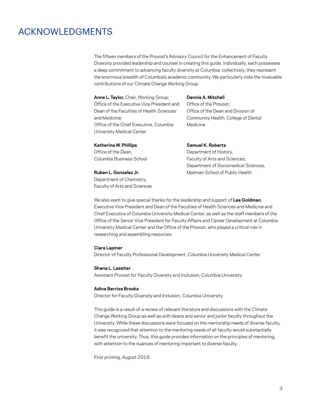# ACKNOWLEDGMENTS

The fifteen members of the Provost's Advisory Council for the Enhancement of Faculty Diversity provided leadership and counsel in creating this guide. Individually, each possesses a deep commitment to advancing faculty diversity at Columbia; collectively, they represent the enormous breadth of Columbia's academic community. We particularly note the invaluable contributions of our Climate Change Working Group:

**Anne L. Taylor,** Chair, Working Group; Office of the Executive Vice President and Dean of the Faculties of Health Sciences and Medicine; Office of the Chief Executive, Columbia University Medical Center

#### **Dennis A. Mitchell**

Office of the Provost; Office of the Dean and Division of Community Health, College of Dental Medicine

#### **Katherine W. Phillips**

Office of the Dean, Columbia Business School

**Ruben L. Gonzalez Jr.**  Department of Chemistry,

Faculty of Arts and Sciences

#### **Samuel K. Roberts**

Department of History, Faculty of Arts and Sciences; Department of Sociomedical Sciences, Mailman School of Public Health

We also want to give special thanks for the leadership and support of **Lee Goldman**, Executive Vice President and Dean of the Faculties of Health Sciences and Medicine and Chief Executive of Columbia University Medical Center, as well as the staff members of the Office of the Senior Vice President for Faculty Affairs and Career Development at Columbia University Medical Center and the Office of the Provost, who played a critical role in researching and assembling resources.

#### **Clara Lapiner**

Director of Faculty Professional Development, Columbia University Medical Center

#### **Shana L. Lassiter**

Assistant Provost for Faculty Diversity and Inclusion, Columbia University

#### **Adina Berrios Brooks**

Director for Faculty Diversity and Inclusion, Columbia University

This guide is a result of a review of relevant literature and discussions with the Climate Change Working Group as well as with deans and senior and junior faculty throughout the University. While these discussions were focused on the mentorship needs of diverse faculty, it was recognized that attention to the mentoring needs of all faculty would substantially benefit the university. Thus, this guide provides information on the principles of mentoring, with attention to the nuances of mentoring important to diverse faculty.

*First printing, August 2016.*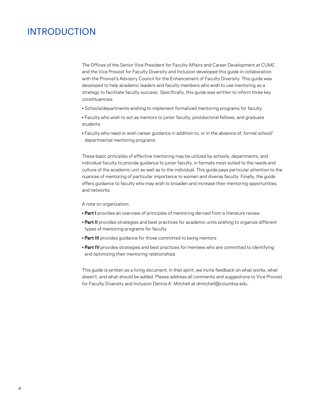# INTRODUCTION

The Offices of the Senior Vice President for Faculty Affairs and Career Development at CUMC and the Vice Provost for Faculty Diversity and Inclusion developed this guide in collaboration with the Provost's Advisory Council for the Enhancement of Faculty Diversity. This guide was developed to help academic leaders and faculty members who wish to use mentoring as a strategy to facilitate faculty success. Specifically, this guide was written to inform three key constituencies:

- Schools/departments wishing to implement formalized mentoring programs for faculty
- Faculty who wish to act as mentors to junior faculty, postdoctoral fellows, and graduate students
- Faculty who need or wish career guidance in addition to, or in the absence of, formal school/ departmental mentoring programs

These basic principles of effective mentoring may be utilized by schools, departments, and individual faculty to provide guidance to junior faculty, in formats most suited to the needs and culture of the academic unit as well as to the individual. This guide pays particular attention to the nuances of mentoring of particular importance to women and diverse faculty. Finally, the guide offers guidance to faculty who may wish to broaden and increase their mentoring opportunities and networks.

#### A note on organization:

- **Part I** provides an overview of principles of mentoring derived from a literature review
- **Part II** provides strategies and best practices for academic units wishing to organize different types of mentoring programs for faculty
- **Part III** provides guidance for those committed to being mentors
- **Part IV** provides strategies and best practices for mentees who are committed to identifying and optimizing their mentoring relationships

This guide is written as a living document; in that spirit, we invite feedback on what works, what doesn't, and what should be added. Please address all comments and suggestions to Vice Provost for Faculty Diversity and Inclusion Dennis A. Mitchell at dmitchell@columbia.edu.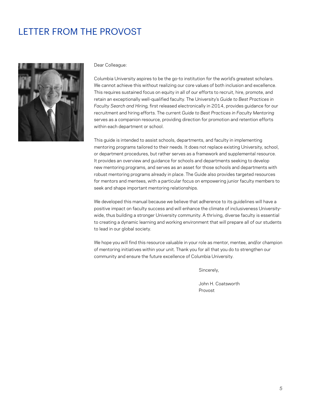# LETTER FROM THE PROVOST



Dear Colleague:

Columbia University aspires to be the go-to institution for the world's greatest scholars. We cannot achieve this without realizing our core values of both inclusion and excellence. This requires sustained focus on equity in all of our efforts to recruit, hire, promote, and retain an exceptionally well-qualified faculty. The University's *Guide to Best Practices in Faculty Search and Hiring,* first released electronically in 2014, provides guidance for our recruitment and hiring efforts. The current *Guide to Best Practices in Faculty Mentoring*  serves as a companion resource, providing direction for promotion and retention efforts within each department or school.

This guide is intended to assist schools, departments, and faculty in implementing mentoring programs tailored to their needs. It does not replace existing University, school, or department procedures, but rather serves as a framework and supplemental resource. It provides an overview and guidance for schools and departments seeking to develop new mentoring programs, and serves as an asset for those schools and departments with robust mentoring programs already in place. The Guide also provides targeted resources for mentors and mentees, with a particular focus on empowering junior faculty members to seek and shape important mentoring relationships.

We developed this manual because we believe that adherence to its guidelines will have a positive impact on faculty success and will enhance the climate of inclusiveness Universitywide, thus building a stronger University community. A thriving, diverse faculty is essential to creating a dynamic learning and working environment that will prepare all of our students to lead in our global society.

We hope you will find this resource valuable in your role as mentor, mentee, and/or champion of mentoring initiatives within your unit. Thank you for all that you do to strengthen our community and ensure the future excellence of Columbia University.

Sincerely,

John H. Coatsworth Provost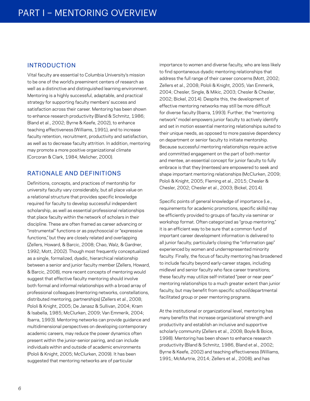#### INTRODUCTION

Vital faculty are essential to Columbia University's mission to be one of the world's preeminent centers of research as well as a distinctive and distinguished learning environment. Mentoring is a highly successful, adaptable, and practical strategy for supporting faculty members' success and satisfaction across their career. Mentoring has been shown to enhance research productivity (Bland & Schmitz, 1986; Bland et al., 2002; Byrne & Keefe, 2002), to enhance teaching effectiveness (Williams, 1991), and to increase faculty retention, recruitment, productivity and satisfaction, as well as to decrease faculty attrition. In addition, mentoring may promote a more positive organizational climate (Corcoran & Clark, 1984; Melicher, 2000).

## RATIONALE AND DEFINITIONS

Definitions, concepts, and practices of mentorship for university faculty vary considerably, but all place value on a relational structure that provides specific knowledge required for faculty to develop successful independent scholarship, as well as essential professional relationships that place faculty within the network of scholars in their discipline. These are often framed as career advancing or "instrumental" functions or as psychosocial or "expressive functions," but they are closely related and overlapping (Zellers, Howard, & Barcic, 2008; Chao, Walz, & Gardner, 1992; Mott, 2002). Though most frequently conceptualized as a single, formalized, dyadic, hierarchical relationship between a senior and junior faculty member (Zellers, Howard, & Barcic, 2008), more recent concepts of mentoring would suggest that effective faculty mentoring should involve both formal and informal relationships with a broad array of professional colleagues (mentoring networks, constellations, distributed mentoring, partnerships) (Zellers et al., 2008; Pololi & Knight, 2005; De Janasz & Sullivan, 2004; Kram & Isabella, 1985; McClurken, 2009; Van Emmerik, 2004; Ibarra, 1993). Mentoring networks can provide guidance and multidimensional perspectives on developing contemporary academic careers, may reduce the power dynamics often present within the junior-senior pairing, and can include individuals within and outside of academic environments (Pololi & Knight, 2005; McClurken, 2009). It has been suggested that mentoring networks are of particular

importance to women and diverse faculty, who are less likely to find spontaneous dyadic mentoring relationships that address the full range of their career concerns (Mott, 2002; Zellers et al., 2008; Pololi & Knight, 2005; Van Emmerik, 2004; Chesler, Single, & Mikic, 2003; Chesler & Chesler, 2002; Bickel, 2014). Despite this, the development of effective mentoring networks may still be more difficult for diverse faculty (Ibarra, 1993). Further, the "mentoring network" model empowers junior faculty to actively identify and set in motion essential mentoring relationships suited to their unique needs, as opposed to more passive dependency on department or senior faculty to initiate mentorship. Because successful mentoring relationships require active and committed engagement on the part of both mentor and mentee, an essential concept for junior faculty to fully embrace is that they (mentees) are empowered to seek and shape important mentoring relationships (McClurken, 2009; Pololi & Knight, 2005; Fleming et al., 2015; Chesler & Chesler, 2002; Chesler et al., 2003; Bickel, 2014).

Specific points of general knowledge of importance (i.e., requirements for academic promotions, specific skills) may be efficiently provided to groups of faculty via seminar or workshop format. Often categorized as "group mentoring," it is an efficient way to be sure that a common fund of important career development information is delivered to all junior faculty, particularly closing the "information gap" experienced by women and underrepresented minority faculty. Finally, the focus of faculty mentoring has broadened to include faculty beyond early-career stages, including midlevel and senior faculty who face career transitions; these faculty may utilize self-initiated "peer or near peer" mentoring relationships to a much greater extent than junior faculty, but may benefit from specific school/departmental facilitated group or peer mentoring programs.

At the institutional or organizational level, mentoring has many benefits that increase organizational strength and productivity and establish an inclusive and supportive scholarly community (Zellers et al., 2008; Boyle & Boice, 1998). Mentoring has been shown to enhance research productivity (Bland & Schmitz, 1986, Bland et al., 2002; Byrne & Keefe, 2002) and teaching effectiveness (Williams, 1991; McMurtrie, 2014; Zellers et al., 2008); and has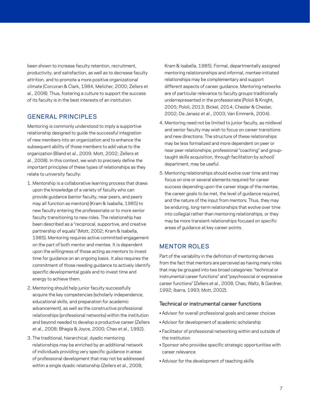been shown to increase faculty retention, recruitment, productivity, and satisfaction, as well as to decrease faculty attrition, and to promote a more positive organizational climate (Corcoran & Clark, 1984; Melicher, 2000; Zellers et al., 2008). Thus, fostering a culture to support the success of its faculty is in the best interests of an institution.

## GENERAL PRINCIPLES

Mentoring is commonly understood to imply a supportive relationship designed to guide the successful integration of new members into an organization and to enhance the subsequent ability of those members to add value to the organization (Bland et al., 2009; Mott, 2002; Zellers et al., 2008). In this context, we wish to precisely define the important principles of these types of relationships as they relate to university faculty:

- 1. Mentorship is a collaborative learning process that draws upon the knowledge of a variety of faculty who can provide guidance (senior faculty, near peers, and peers may all function as mentors) (Kram & Isabella, 1985) to new faculty entering the professoriate or to more senior faculty transitioning to new roles. The relationship has been described as a "reciprocal, supportive, and creative partnership of equals" (Mott, 2002; Kram & Isabella, 1985). Mentoring requires active committed engagement on the part of both mentor and mentee. It is dependent upon the willingness of those acting as mentors to invest time for guidance on an ongoing basis. It also requires the commitment of those needing guidance to actively identify specific developmental goals and to invest time and energy to achieve them.
- 2. Mentoring should help junior faculty successfully acquire the key competencies (scholarly independence, educational skills, and preparation for academic advancement), as well as the constructive professional relationships (professional networks) within the institution and beyond needed to develop a productive career (Zellers et al., 2008; Bhagia & Joyce, 2000; Chao et al., 1992).
- 3. The traditional, hierarchical, dyadic mentoring relationships may be enriched by an additional network of individuals providing very specific guidance in areas of professional development that may not be addressed within a single dyadic relationship (Zellers et al., 2008;

Kram & Isabella, 1985). Formal, departmentally assigned mentoring relationonships and informal, mentee-initiated relationships may be complementary and support different aspects of career guidance. Mentoring networks are of particular relevance to faculty groups traditionally underrepresented in the professoriate (Pololi & Knight, 2005; Pololi, 2013; Bickel, 2014; Chesler & Chesler, 2002; De Janasz et al., 2003; Van Emmerik, 2004).

- 4. Mentoring need not be limited to junior faculty, as midlevel and senior faculty may wish to focus on career transitions and new directions. The structure of these relationships may be less formalized and more dependent on peer or near peer relationships; professional "coaching" and grouptaught skills acquisition, through facilitation by school/ department, may be useful.
- 5. Mentoring relationships should evolve over time and may focus on one or several elements required for career success depending upon the career stage of the mentee, the career goals to be met, the level of guidance required, and the nature of the input from mentors. Thus, they may be enduring, long-term relationships that evolve over time into collegial rather than mentoring relationships, or they may be more transient relationships focused on specific areas of guidance at key career points.

## MENTOR ROLES

Part of the variability in the definition of mentoring derives from the fact that mentors are perceived as having many roles that may be grouped into two broad categories: "technical or instrumental career functions" and "psychosocial or expressive career functions" (Zellers et al., 2008; Chao, Waltz, & Gardner, 1992; Ibarra, 1993; Mott, 2002).

#### Technical or instrumental career functions

- Advisor for overall professional goals and career choices
- Advisor for development of academic scholarship
- Facilitator of professional networking within and outside of the institution
- Sponsor who provides specific strategic opportunities with career relevance
- Advisor for the development of teaching skills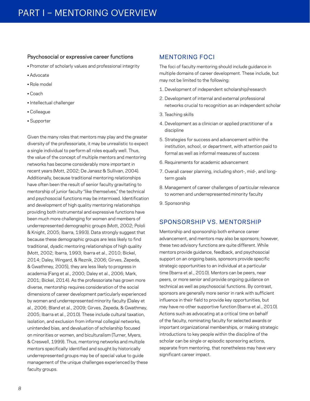#### Psychosocial or expressive career functions

- Promoter of scholarly values and professional integrity
- Advocate
- Role model
- Coach
- Intellectual challenger
- Colleague
- Supporter

Given the many roles that mentors may play and the greater diversity of the professoriate, it may be unrealistic to expect a single individual to perform all roles equally well. Thus, the value of the concept of multiple mentors and mentoring networks has become considerably more important in recent years (Mott, 2002; De Janasz & Sullivan, 2004). Additionally, because traditional mentoring relationships have often been the result of senior faculty gravitating to mentorship of junior faculty "like themselves," the technical and psychosocial functions may be intermixed. Identification and development of high quality mentoring relationships providing both instrumental and expressive functions have been much more challenging for women and members of underrepresented demographic groups (Mott, 2002; Pololi & Knight, 2005; Ibarra, 1993). Data strongly suggest that because these demographic groups are less likely to find traditional, dyadic mentoring relationships of high quality (Mott, 2002; Ibarra, 1993; Ibarra et al., 2010; Bickel, 2014; Daley, Wingard, & Reznik, 2006; Girves, Zepeda, & Gwathmey, 2005), they are less likely to progress in academia (Fang et al., 2000; Daley et al., 2006; Mark, 2001; Bickel, 2014). As the professoriate has grown more diverse, mentorship requires consideration of the social dimensions of career development particularly experienced by women and underrepresented minority faculty (Daley et al., 2006; Bland et al., 2009; Girves, Zepeda, & Gwathmey, 2005; Ibarra et al., 2010). These include cultural taxation, isolation, and exclusion from informal collegial networks, unintended bias, and devaluation of scholarship focused on minorities or women, and biculturalism (Turner, Myers, & Creswell, 1999). Thus, mentoring networks and multiple mentors specifically identified and sought by historically underrepresented groups may be of special value to guide management of the unique challenges experienced by these faculty groups.

#### MENTORING FOCI

The foci of faculty mentoring should include guidance in multiple domains of career development. These include, but may not be limited to the following:

- 1. Development of independent scholarship/research
- 2. Development of internal and external professional networks crucial to recognition as an independent scholar
- 3. Teaching skills
- 4. Development as a clinician or applied practitioner of a discipline
- 5. Strategies for success and advancement within the institution, school, or department, with attention paid to formal as well as informal measures of success
- 6. Requirements for academic advancement
- 7. Overall career planning, including short-, mid-, and longterm goals
- 8. Management of career challenges of particular relevance to women and underrepresented minority faculty
- 9. Sponsorship

#### SPONSORSHIP VS. MENTORSHIP

Mentorship and sponsorship both enhance career advancement, and mentors may also be sponsors; however, these two advisory functions are quite different. While mentors provide guidance, feedback, and psychosocial support on an ongoing basis, sponsors provide specific strategic opportunities to an individual at a particular time (Ibarra et al., 2010). Mentors can be peers, near peers, or more senior and provide ongoing guidance on technical as well as psychosocial functions. By contrast, sponsors are generally more senior in rank with sufficient influence in their field to provide key opportunities, but may have no other supportive function (Ibarra et al., 2010). Actions such as advocating at a critical time on behalf of the faculty, nominating faculty for selected awards or important organizational memberships, or making strategic introductions to key people within the discipline of the scholar can be single or episodic sponsoring actions, separate from mentoring, that nonetheless may have very significant career impact.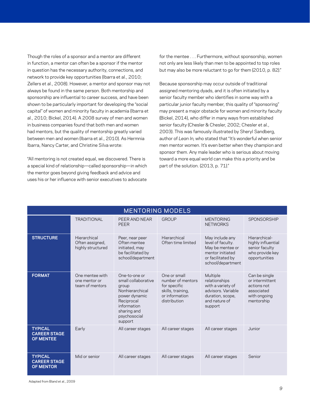Though the roles of a sponsor and a mentor are different in function, a mentor can often be a sponsor if the mentor in question has the necessary authority, connections, and network to provide key opportunities (Ibarra et al., 2010; Zellers et al., 2008). However, a mentor and sponsor may not always be found in the same person. Both mentorship and sponsorship are influential to career success, and have been shown to be particularly important for developing the "social capital" of women and minority faculty in academia (Ibarra et al., 2010; Bickel, 2014). A 2008 survey of men and women in business companies found that both men and women had mentors, but the quality of mentorship greatly varied between men and women (Ibarra et al., 2010). As Hermnia Ibarra, Nancy Carter, and Christine Silva wrote:

"All mentoring is not created equal, we discovered. There is a special kind of relationship—called sponsorship—in which the mentor goes beyond giving feedback and advice and uses his or her influence with senior executives to advocate

for the mentee . . . Furthermore, without sponsorship, women not only are less likely than men to be appointed to top roles but may also be more reluctant to go for them (2010, p. 82)."

Because sponsorship may occur outside of traditional assigned mentoring dyads, and it is often initiated by a senior faculty member who identifies in some way with a particular junior faculty member, this quality of "sponsoring" may present a major obstacle for women and minority faculty (Bickel, 2014), who differ in many ways from established senior faculty (Chesler & Chesler, 2002; Chesler et al., 2003). This was famously illustrated by Sheryl Sandberg, author of *Lean In,* who stated that "It's wonderful when senior men mentor women. It's even better when they champion and sponsor them. Any male leader who is serious about moving toward a more equal world can make this a priority and be part of the solution. (2013, p. 71)."

| <b>MENTORING MODELS</b>                                   |                                                      |                                                                                                                                                          |                                                                                                          |                                                                                                                        |                                                                                             |  |  |  |
|-----------------------------------------------------------|------------------------------------------------------|----------------------------------------------------------------------------------------------------------------------------------------------------------|----------------------------------------------------------------------------------------------------------|------------------------------------------------------------------------------------------------------------------------|---------------------------------------------------------------------------------------------|--|--|--|
|                                                           | <b>TRADITIONAL</b>                                   | PEER AND NEAR<br><b>PEER</b>                                                                                                                             | <b>GROUP</b>                                                                                             | <b>MENTORING</b><br><b>NETWORKS</b>                                                                                    | <b>SPONSORSHIP</b>                                                                          |  |  |  |
| <b>STRUCTURE</b>                                          | Hierarchical<br>Often assigned,<br>highly structured | Peer, near peer<br>Often mentee<br>initiated, may<br>be facilitated by<br>school/department                                                              | Hierarchical<br>Often time limited                                                                       | May include any<br>level of faculty.<br>May be mentee or<br>mentor initiated<br>or facilitated by<br>school/department | Hierarchical-<br>highly influential<br>senior faculty<br>who provide key<br>opportunities   |  |  |  |
| <b>FORMAT</b>                                             | One mentee with<br>one mentor or<br>team of mentors  | One-to-one or<br>small collaborative<br>group<br>Nonhierarchical<br>power dynamic<br>Reciprocal<br>information<br>sharing and<br>psychosocial<br>support | One or small<br>number of mentors<br>for specific<br>skills, training,<br>or information<br>distribution | Multiple<br>relationships<br>with a variety of<br>advisors, Variable<br>duration, scope,<br>and nature of<br>support   | Can be single<br>or intermittent<br>actions not<br>associated<br>with ongoing<br>mentorship |  |  |  |
| <b>TYPICAL</b><br><b>CAREER STAGE</b><br><b>OF MENTEE</b> | Early                                                | All career stages                                                                                                                                        | All career stages                                                                                        | All career stages                                                                                                      | Junior                                                                                      |  |  |  |
| <b>TYPICAL</b><br><b>CAREER STAGE</b><br><b>OF MENTOR</b> | Mid or senior                                        | All career stages                                                                                                                                        | All career stages                                                                                        | All career stages                                                                                                      | Senior                                                                                      |  |  |  |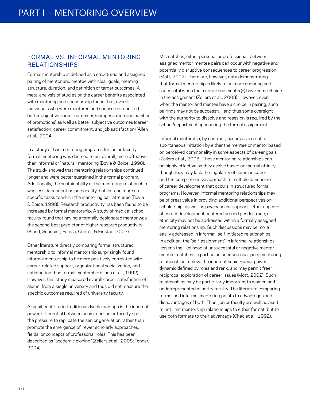## FORMAL VS. INFORMAL MENTORING RELATIONSHIPS

Formal mentorship is defined as a structured and assigned pairing of mentor and mentee with clear goals, meeting structure, duration, and definition of target outcomes. A meta-analysis of studies on the career benefits associated with mentoring and sponsorship found that, overall, individuals who were mentored and sponsored reported better objective career outcomes (compensation and number of promotions) as well as better subjective outcomes (career satisfaction, career commitment, and job satisfaction) (Allen et al., 2004).

In a study of two mentoring programs for junior faculty, formal mentoring was deemed to be, overall, more effective than informal or "natural" mentoring (Boyle & Boice, 1998). The study showed that mentoring relationships continued longer and were better sustained in the formal program. Additionally, the sustainability of the mentoring relationship was less dependent on personality, but instead more on specific tasks to which the mentoring pair attended (Boyle & Boice, 1998). Research productivity has been found to be increased by formal mentorship. A study of medical school faculty found that having a formally designated mentor was the second-best predictor of higher research productivity (Bland, Seaquist, Pacala, Center, & Finstad, 2002).

Other literature directly comparing formal structured mentorship to informal mentorship surprisingly found informal mentorship to be more positively correlated with career-related support, organizational socialization, and satisfaction than formal mentorship (Chao et al., 1992). However, this study measured overall career satisfaction of alumni from a single university and thus did not measure the specific outcomes required of university faculty.

A significant risk in traditional dyadic pairings is the inherent power differential between senior and junior faculty and the pressure to replicate the senior generation rather than promote the emergence of newer scholarly approaches, fields, or concepts of professorial roles. This has been described as "academic cloning" (Zellers et al., 2008; Tenner, 2004).

Mismatches, either personal or professional, between assigned mentor-mentee pairs can occur with negative and potentially disruptive consequences to career progression (Mott, 2002). There are, however, data demonstrating that formal mentorship is likely to be more enduring and successful when the mentee and mentor(s) have some choice in the assignment (Zellers et al., 2008). However, even when the mentor and mentee have a choice in pairing, such pairings may not be successful, and thus some oversight with the authority to dissolve and reassign is required by the school/department sponsoring the formal assignment.

Informal mentorship, by contrast, occurs as a result of spontaneous initiation by either the mentee or mentor based on perceived commonality in some aspects of career goals (Zellers et al., 2008). These mentoring relationships can be highly effective as they evolve based on mutual affinity, though they may lack the regularity of communication and the comprehensive approach to multiple dimensions of career development that occurs in structured formal programs. However, informal mentoring relationships may be of great value in providing additional perspectives on scholarship, as well as psychosocial support. Other aspects of career development centered around gender, race, or ethnicity may not be addressed within a formally assigned mentoring relationship. Such discussions may be more easily addressed in informal, self-initiated relationships. In addition, the "self-assignment" in informal relationships lessens the likelihood of unsuccessful or negative mentormentee matches. In particular, peer and near peer mentoring relationships remove the inherent senior-junior power dynamic defined by roles and rank, and may permit freer reciprocal exploration of career issues (Mott, 2002). Such relationships may be particularly important to women and underrepresented minority faculty. The literature comparing formal and informal mentoring points to advantages and disadvantages of both. Thus, junior faculty are well advised to not limit mentorship relationships to either format, but to use both formats to their advantage (Chao et al., 1992).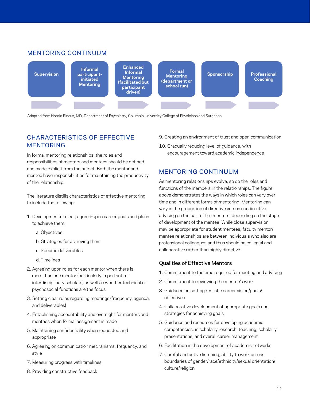## MENTORING CONTINUUM



Adopted from Harold Pincus, MD, Department of Psychiatry, Columbia University College of Physicians and Surgeons

# CHARACTERISTICS OF EFFECTIVE MENTORING

In formal mentoring relationships, the roles and responsibilities of mentors and mentees should be defined and made explicit from the outset. Both the mentor and mentee have responsibilities for maintaining the productivity of the relationship.

The literature distills characteristics of effective mentoring to include the following:

- 1. Development of clear, agreed-upon career goals and plans to achieve them:
	- a. Objectives
	- b. Strategies for achieving them
	- c. Specific deliverables
	- d. Timelines
- 2. Agreeing upon roles for each mentor when there is more than one mentor (particularly important for interdisciplinary scholars) as well as whether technical or psychosocial functions are the focus
- 3. Setting clear rules regarding meetings (frequency, agenda, and deliverables)
- 4. Establishing accountability and oversight for mentors and mentees when formal assignment is made
- 5. Maintaining confidentiality when requested and appropriate
- 6. Agreeing on communication mechanisms, frequency, and style
- 7. Measuring progress with timelines
- 8. Providing constructive feedback
- 9. Creating an environment of trust and open communication
- 10. Gradually reducing level of guidance, with encouragement toward academic independence

## MENTORING CONTINUUM

As mentoring relationships evolve, so do the roles and functions of the members in the relationships. The figure above demonstrates the ways in which roles can vary over time and in different forms of mentoring. Mentoring can vary in the proportion of directive versus nondirective advising on the part of the mentors, depending on the stage of development of the mentee. While close supervision may be appropriate for student mentees, faculty mentor/ mentee relationships are between individuals who also are professional colleagues and thus should be collegial and collaborative rather than highly directive.

#### Qualities of Effective Mentors

- 1. Commitment to the time required for meeting and advising
- 2. Commitment to reviewing the mentee's work
- 3. Guidance on setting realistic career vision/goals/ objectives
- 4. Collaborative development of appropriate goals and strategies for achieving goals
- 5. Guidance and resources for developing academic competencies, in scholarly research, teaching, scholarly presentations, and overall career management
- 6. Facilitation in the development of academic networks
- 7. Careful and active listening, ability to work across boundaries of gender/race/ethnicity/sexual orientation/ culture/religion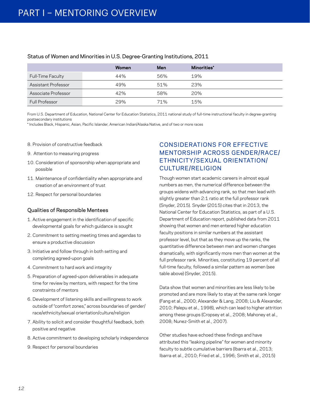|                          | Women | Men | Minorities* |  |
|--------------------------|-------|-----|-------------|--|
| <b>Full-Time Faculty</b> | 44%   | 56% | 19%         |  |
| Assistant Professor      | 49%   | 51% | 23%         |  |
| Associate Professor      | 42%   | 58% | 20%         |  |
| Full Professor           | 29%   | 71% | 15%         |  |

#### Status of Women and Minorities in U.S. Degree-Granting Institutions, 2011

From U.S. Department of Education, National Center for Education Statistics, 2011 national study of full-time instructional faculty in degree-granting postsecondary institutions

\* Includes Black, Hispanic, Asian, Pacific Islander, American Indian/Alaska Native, and of two or more races

- 8. Provision of constructive feedback
- 9. Attention to measuring progress
- 10. Consideration of sponsorship when appropriate and possible
- 11. Maintenance of confidentiality when appropriate and creation of an environment of trust
- 12. Respect for personal boundaries

#### Qualities of Responsible Mentees

- 1. Active engagement in the identification of specific developmental goals for which guidance is sought
- 2. Commitment to setting meeting times and agendas to ensure a productive discussion
- 3. Initiative and follow through in both setting and completing agreed-upon goals
- 4. Commitment to hard work and integrity
- 5. Preparation of agreed-upon deliverables in adequate time for review by mentors, with respect for the time constraints of mentors
- 6. Development of listening skills and willingness to work outside of "comfort zones," across boundaries of gender/ race/ethnicity/sexual orientation/culture/religion
- 7. Ability to solicit and consider thoughtful feedback, both positive and negative
- 8. Active commitment to developing scholarly independence
- 9. Respect for personal boundaries

# CONSIDERATIONS FOR EFFECTIVE MENTORSHIP ACROSS GENDER/RACE/ ETHNICITY/SEXUAL ORIENTATION/ CULTURE/RELIGION

Though women start academic careers in almost equal numbers as men, the numerical difference between the groups widens with advancing rank, so that men lead with slightly greater than 2:1 ratio at the full professor rank (Snyder, 2015). Snyder (2015) cites that in 2013, the National Center for Education Statistics, as part of a U.S. Department of Education report, published data from 2011 showing that women and men entered higher education faculty positions in similar numbers at the assistant professor level, but that as they move up the ranks, the quantitative difference between men and women changes dramatically, with significantly more men than women at the full professor rank. Minorities, constituting 19 percent of all full-time faculty, followed a similar pattern as women (see table above) (Snyder, 2015).

Data show that women and minorities are less likely to be promoted and are more likely to stay at the same rank longer (Fang et al., 2000; Alexander & Lang, 2008; Liu & Alexander, 2010; Palepu et al., 1998), which can lead to higher attrition among these groups (Cropsey et al., 2008; Mahoney et al., 2008; Nunez-Smith et al., 2007).

Other studies have echoed these findings and have attributed this "leaking pipeline" for women and minority faculty to subtle cumulative barriers (Ibarra et al., 2013; Ibarra et al., 2010; Fried et al., 1996; Smith et al., 2015)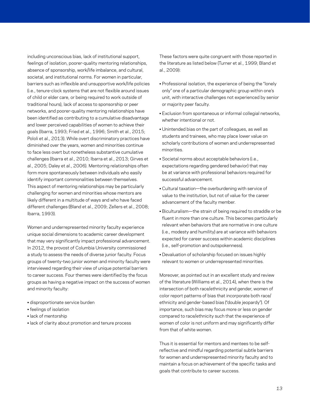including unconscious bias, lack of institutional support, feelings of isolation, poorer-quality mentoring relationships, absence of sponsorship, work/life imbalance, and cultural, societal, and institutional norms. For women in particular, barriers such as inflexible and unsupportive work/life policies (i.e., tenure-clock systems that are not flexible around issues of child or elder care, or being required to work outside of traditional hours), lack of access to sponsorship or peer networks, and poorer-quality mentoring relationships have been identified as contributing to a cumulative disadvantage and lower perceived capabilities of women to achieve their goals (Ibarra, 1993; Fried et al., 1996; Smith et al., 2015; Pololi et al., 2013). While overt discriminatory practices have diminished over the years, women and minorities continue to face less overt but nonetheless substantive cumulative challenges (Ibarra et al., 2010; Ibarra et al., 2013; Girves et al., 2005; Daley et al., 2006). Mentoring relationships often form more spontaneously between individuals who easily identify important commonalities between themselves. This aspect of mentoring relationships may be particularly challenging for women and minorities whose mentors are likely different in a multitude of ways and who have faced different challenges (Bland et al., 2009; Zellers et al., 2008; Ibarra, 1993).

Women and underrepresented minority faculty experience unique social dimensions to academic career development that may very significantly impact professional advancement. In 2012, the provost of Columbia University commissioned a study to assess the needs of diverse junior faculty. Focus groups of twenty-two junior women and minority faculty were interviewed regarding their view of unique potential barriers to career success. Four themes were identified by the focus groups as having a negative impact on the success of women and minority faculty:

- disproportionate service burden
- feelings of isolation
- lack of mentorship
- lack of clarity about promotion and tenure process

These factors were quite congruent with those reported in the literature as listed below (Turner et al., 1999; Bland et al., 2009):

- Professional isolation, the experience of being the "lonely only" one of a particular demographic group within one's unit, with interactive challenges not experienced by senior or majority peer faculty.
- Exclusion from spontaneous or informal collegial networks, whether intentional or not.
- Unintended bias on the part of colleagues, as well as students and trainees, who may place lower value on scholarly contributions of women and underrepresented minorities.
- Societal norms about acceptable behaviors (i.e., expectations regarding gendered behavior) that may be at variance with professional behaviors required for successful advancement.
- Cultural taxation—the overburdening with service of value to the institution, but not of value for the career advancement of the faculty member.
- Biculturalism—the strain of being required to straddle or be fluent in more than one culture. This becomes particularly relevant when behaviors that are normative in one culture (i.e., modesty and humility) are at variance with behaviors expected for career success within academic disciplines (i.e., self-promotion and outspokenness).
- Devaluation of scholarship focused on issues highly relevant to women or underrepresented minorities.

Moreover, as pointed out in an excellent study and review of the literature (Williams et al., 2014), when there is the intersection of both race/ethnicity and gender, women of color report patterns of bias that incorporate both race/ ethnicity and gender-based bias ("double jeopardy"). Of importance, such bias may focus more or less on gender compared to race/ethnicity such that the experience of women of color is not uniform and may significantly differ from that of white women.

Thus it is essential for mentors and mentees to be selfreflective and mindful regarding potential subtle barriers for women and underrepresented minority faculty and to maintain a focus on achievement of the specific tasks and goals that contribute to career success.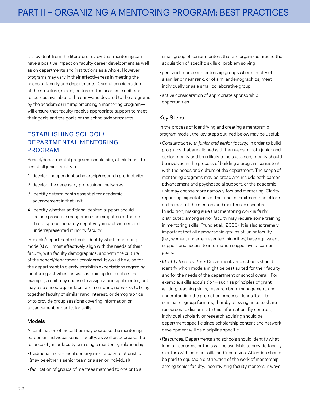It is evident from the literature review that mentoring can have a positive impact on faculty career development as well as on departments and institutions as a whole. However, programs may vary in their effectiveness in meeting the needs of faculty and departments. Careful consideration of the structure, model, culture of the academic unit, and resources available to the unit—and devoted to the programs by the academic unit implementing a mentoring program will ensure that faculty receive appropriate support to meet their goals and the goals of the schools/departments.

# ESTABLISHING SCHOOL/ DEPARTMENTAL MENTORING PROGRAM

School/departmental programs should aim, at minimum, to assist all junior faculty to:

- 1. develop independent scholarship/research productivity
- 2. develop the necessary professional networks
- 3. identify determinants essential for academic advancement in that unit
- 4. identify whether additional desired support should include proactive recognition and mitigation of factors that disproportionately negatively impact women and underrepresented minority faculty

 Schools/departments should identify which mentoring model(s) will most effectively align with the needs of their faculty, with faculty demographics, and with the culture of the school/department considered. It would be wise for the department to clearly establish expectations regarding mentoring activities, as well as training for mentors. For example, a unit may choose to assign a principal mentor, but may also encourage or facilitate mentoring networks to bring together faculty of similar rank, interest, or demographics, or to provide group sessions covering information on advancement or particular skills.

#### Models

A combination of modalities may decrease the mentoring burden on individual senior faculty, as well as decrease the reliance of junior faculty on a single mentoring relationship:

- traditional hierarchical senior-junior faculty relationship (may be either a senior team or a senior individual)
- facilitation of groups of mentees matched to one or to a

small group of senior mentors that are organized around the acquisition of specific skills or problem solving

- peer and near peer mentorship groups where faculty of a similar or near rank, or of similar demographics, meet individually or as a small collaborative group
- active consideration of appropriate sponsorship opportunities

#### Key Steps

In the process of identifying and creating a mentorship program model, the key steps outlined below may be useful:

- *Consultation with junior and senior faculty:* In order to build programs that are aligned with the needs of both junior and senior faculty and thus likely to be sustained, faculty should be involved in the process of building a program consistent with the needs and culture of the department. The scope of mentoring programs may be broad and include both career advancement and psychosocial support, or the academic unit may choose more narrowly focused mentoring. Clarity regarding expectations of the time commitment and efforts on the part of the mentors and mentees is essential. In addition, making sure that mentoring work is fairly distributed among senior faculty may require some training in mentoring skills (Pfund et al., 2006). It is also extremely important that all demographic groups of junior faculty (i.e., women, underrepresented minorities) have equivalent support and access to information supportive of career goals.
- *Identify the structure:* Departments and schools should identify which models might be best suited for their faculty and for the needs of the department or school overall. For example, skills acquisition—such as principles of grant writing, teaching skills, research team management, and understanding the promotion process—lends itself to seminar or group formats, thereby allowing units to share resources to disseminate this information. By contrast, individual scholarly or research advising should be department specific since scholarship content and network development will be discipline specific.
- *Resources:* Departments and schools should identify what kind of resources or tools will be available to provide faculty mentors with needed skills and incentives. Attention should be paid to equitable distribution of the work of mentorship among senior faculty. Incentivizing faculty mentors in ways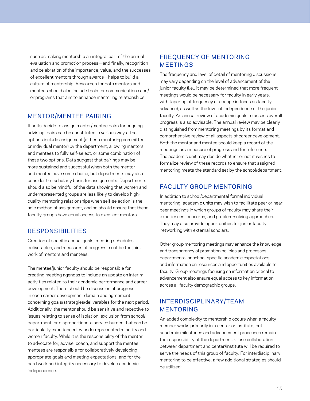such as making mentorship an integral part of the annual evaluation and promotion process—and finally, recognition and celebration of the importance, value, and the successes of excellent mentors through awards—helps to build a culture of mentorship. Resources for both mentors and mentees should also include tools for communications and/ or programs that aim to enhance mentoring relationships.

## MENTOR/MENTEE PAIRING

If units decide to assign mentor/mentee pairs for ongoing advising, pairs can be constituted in various ways. The options include assignment (either a mentoring committee or individual mentor) by the department, allowing mentors and mentees to fully self-select, or some combination of these two options. Data suggest that pairings may be more sustained and successful when both the mentor and mentee have some choice, but departments may also consider the scholarly basis for assignments. Departments should also be mindful of the data showing that women and underrepresented groups are less likely to develop highquality mentoring relationships when self-selection is the sole method of assignment, and so should ensure that these faculty groups have equal access to excellent mentors.

## RESPONSIBILITIES

Creation of specific annual goals, meeting schedules, deliverables, and measures of progress must be the joint work of mentors and mentees.

The mentee/junior faculty should be responsible for creating meeting agendas to include an update on interim activities related to their academic performance and career development. There should be discussion of progress in each career development domain and agreement concerning goals/strategies/deliverables for the next period. Additionally, the mentor should be sensitive and receptive to issues relating to sense of isolation, exclusion from school/ department, or disproportionate service burden that can be particularly experienced by underrepresented minority and women faculty. While it is the responsibility of the mentor to advocate for, advise, coach, and support the mentee, mentees are responsible for collaboratively developing appropriate goals and meeting expectations, and for the hard work and integrity necessary to develop academic independence.

## FREQUENCY OF MENTORING MEETINGS

The frequency and level of detail of mentoring discussions may vary depending on the level of advancement of the junior faculty (i.e., it may be determined that more frequent meetings would be necessary for faculty in early years, with tapering of frequency or change in focus as faculty advance), as well as the level of independence of the junior faculty. An annual review of academic goals to assess overall progress is also advisable. The annual review may be clearly distinguished from mentoring meetings by its format and comprehensive review of all aspects of career development. Both the mentor and mentee should keep a record of the meetings as a measure of progress and for reference. The academic unit may decide whether or not it wishes to formalize review of these records to ensure that assigned mentoring meets the standard set by the school/department.

# FACULTY GROUP MENTORING

In addition to school/departmental formal individual mentoring, academic units may wish to facilitate peer or near peer meetings in which groups of faculty may share their experiences, concerns, and problem-solving approaches. They may also provide opportunities for junior faculty networking with external scholars.

Other group mentoring meetings may enhance the knowledge and transparency of promotion policies and processes, departmental or school-specific academic expectations, and information on resources and opportunities available to faculty. Group meetings focusing on information critical to advancement also ensure equal access to key information across all faculty demographic groups.

# INTERDISCIPLINARY/TEAM MENTORING

An added complexity to mentorship occurs when a faculty member works primarily in a center or institute, but academic milestones and advancement processes remain the responsibility of the department. Close collaboration between department and center/institute will be required to serve the needs of this group of faculty. For interdisciplinary mentoring to be effective, a few additional strategies should be utilized: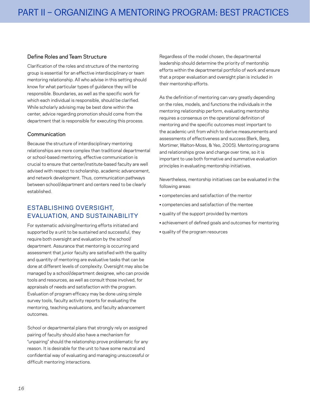#### Define Roles and Team Structure

Clarification of the roles and structure of the mentoring group is essential for an effective interdisciplinary or team mentoring relationship. All who advise in this setting should know for what particular types of guidance they will be responsible. Boundaries, as well as the specific work for which each individual is responsible, should be clarified. While scholarly advising may be best done within the center, advice regarding promotion should come from the department that is responsible for executing this process.

#### Communication

Because the structure of interdisciplinary mentoring relationships are more complex than traditional departmental or school-based mentoring, effective communication is crucial to ensure that center/institute-based faculty are well advised with respect to scholarship, academic advancement, and network development. Thus, communication pathways between school/department and centers need to be clearly established.

# ESTABLISHING OVERSIGHT, EVALUATION, AND SUSTAINABILITY

For systematic advising/mentoring efforts initiated and supported by a unit to be sustained and successful, they require both oversight and evaluation by the school/ department. Assurance that mentoring is occurring and assessment that junior faculty are satisfied with the quality and quantity of mentoring are evaluative tasks that can be done at different levels of complexity. Oversight may also be managed by a school/department designee, who can provide tools and resources, as well as consult those involved, for appraisals of needs and satisfaction with the program. Evaluation of program efficacy may be done using simple survey tools, faculty activity reports for evaluating the mentoring, teaching evaluations, and faculty advancement outcomes.

School or departmental plans that strongly rely on assigned pairing of faculty should also have a mechanism for "unpairing" should the relationship prove problematic for any reason. It is desirable for the unit to have some neutral and confidential way of evaluating and managing unsuccessful or difficult mentoring interactions.

Regardless of the model chosen, the departmental leadership should determine the priority of mentorship efforts within the departmental portfolio of work and ensure that a proper evaluation and oversight plan is included in their mentorship efforts.

As the definition of mentoring can vary greatly depending on the roles, models, and functions the individuals in the mentoring relationship perform, evaluating mentorship requires a consensus on the operational definition of mentoring and the specific outcomes most important to the academic unit from which to derive measurements and assessments of effectiveness and success (Berk, Berg, Mortimer, Walton-Moss, & Yeo, 2005). Mentoring programs and relationships grow and change over time, so it is important to use both formative and summative evaluation principles in evaluating mentorship initiatives.

Nevertheless, mentorship initiatives can be evaluated in the following areas:

- competencies and satisfaction of the mentor
- competencies and satisfaction of the mentee
- quality of the support provided by mentors
- achievement of defined goals and outcomes for mentoring
- quality of the program resources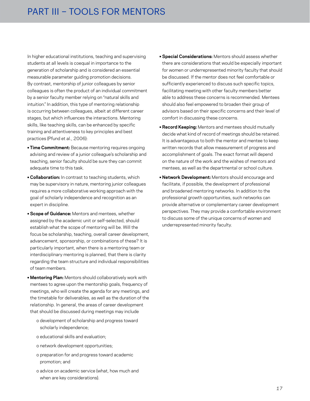In higher educational institutions, teaching and supervising students at all levels is coequal in importance to the generation of scholarship and is considered an essential measurable parameter guiding promotion decisions. By contrast, mentorship of junior colleagues by senior colleagues is often the product of an individual commitment by a senior faculty member relying on "natural skills and intuition." In addition, this type of mentoring relationship is occurring between colleagues, albeit at different career stages, but which influences the interactions. Mentoring skills, like teaching skills, can be enhanced by specific training and attentiveness to key principles and best practices (Pfund et al., 2006):

- **Time Commitment:** Because mentoring requires ongoing advising and review of a junior colleague's scholarship and teaching, senior faculty should be sure they can commit adequate time to this task.
- **Collaboration:** In contrast to teaching students, which may be supervisory in nature, mentoring junior colleagues requires a more collaborative working approach with the goal of scholarly independence and recognition as an expert in discipline.
- **Scope of Guidance:** Mentors and mentees, whether assigned by the academic unit or self-selected, should establish what the scope of mentoring will be. Will the focus be scholarship, teaching, overall career development, advancement, sponsorship, or combinations of these? It is particularly important, when there is a mentoring team or interdisciplinary mentoring is planned, that there is clarity regarding the team structure and individual responsibilities of team members.
- **Mentoring Plan:** Mentors should collaboratively work with mentees to agree upon the mentorship goals, frequency of meetings, who will create the agenda for any meetings, and the timetable for deliverables, as well as the duration of the relationship. In general, the areas of career development that should be discussed during meetings may include
	- o development of scholarship and progress toward scholarly independence;
	- o educational skills and evaluation;
	- o network development opportunities;
	- o preparation for and progress toward academic promotion; and
	- o advice on academic service (what, how much and when are key considerations).
- **Special Considerations:** Mentors should assess whether there are considerations that would be especially important for women or underrepresented minority faculty that should be discussed. If the mentor does not feel comfortable or sufficiently experienced to discuss such specific topics, facilitating meeting with other faculty members better able to address these concerns is recommended. Mentees should also feel empowered to broaden their group of advisors based on their specific concerns and their level of comfort in discussing these concerns.
- **Record Keeping:** Mentors and mentees should mutually decide what kind of record of meetings should be retained. It is advantageous to both the mentor and mentee to keep written records that allow measurement of progress and accomplishment of goals. The exact format will depend on the nature of the work and the wishes of mentors and mentees, as well as the departmental or school culture.
- **Network Development:** Mentors should encourage and facilitate, if possible, the development of professional and broadened mentoring networks. In addition to the professional growth opportunities, such networks can provide alternative or complementary career development perspectives. They may provide a comfortable environment to discuss some of the unique concerns of women and underrepresented minority faculty.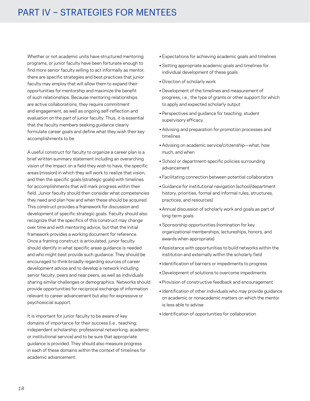# PART IV – STRATEGIES FOR MENTEES

Whether or not academic units have structured mentoring programs, or junior faculty have been fortunate enough to find more senior faculty willing to act informally as mentor, there are specific strategies and best practices that junior faculty may employ that will allow them to expand their opportunities for mentorship and maximize the benefit of such relationships. Because mentoring relationships are active collaborations, they require commitment and engagement, as well as ongoing self-reflection and evaluation on the part of junior faculty. Thus, it is essential that the faculty members seeking guidance clearly formulate career goals and define what they wish their key accomplishments to be.

A useful construct for faculty to organize a career plan is a brief written summary statement including an overarching vision of the impact on a field they wish to have, the specific areas (mission) in which they will work to realize that vision, and then the specific goals (strategic goals) with timelines for accomplishments that will mark progress within their field. Junior faculty should then consider what competencies they need and plan how and when these should be acquired. This construct provides a framework for discussion and development of specific strategic goals. Faculty should also recognize that the specifics of this construct may change over time and with mentoring advice, but that the initial framework provides a working document for reference. Once a framing construct is articulated, junior faculty should identify in what specific areas guidance is needed and who might best provide such guidance. They should be encouraged to think broadly regarding sources of career development advice and to develop a network including senior faculty, peers and near peers, as well as individuals sharing similar challenges or demographics. Networks should provide opportunities for reciprocal exchange of information relevant to career advancement but also for expressive or psychosocial support.

It is important for junior faculty to be aware of key domains of importance for their success (i.e., teaching; independent scholarship; professional networking; academic or institutional service) and to be sure that appropriate guidance is provided. They should also measure progress in each of these domains within the context of timelines for academic advancement:

- Expectations for achieving academic goals and timelines
- Setting appropriate academic goals and timelines for individual development of these goals
- Direction of scholarly work
- Development of the timelines and measurement of progress, i.e., the type of grants or other support for which to apply and expected scholarly output
- Perspectives and guidance for teaching; student supervisory efficacy
- Advising and preparation for promotion processes and timelines
- Advising on academic service/citizenship—what, how much, and when
- School or department-specific policies surrounding advancement
- Facilitating connection between potential collaborators
- Guidance for institutional navigation (school/department history, priorities, formal and informal rules, structures, practices, and resources)
- Annual discussion of scholarly work and goals as part of long-term goals
- Sponsorship opportunities (nomination for key organizational memberships, lectureships, honors, and awards when appropriate)
- Assistance with opportunities to build networks within the institution and externally within the scholarly field
- Identification of barriers or impediments to progress
- Development of solutions to overcome impediments
- Provision of constructive feedback and encouragement
- Identification of other individuals who may provide guidance on academic or nonacademic matters on which the mentor is less able to advise
- Identification of opportunities for collaboration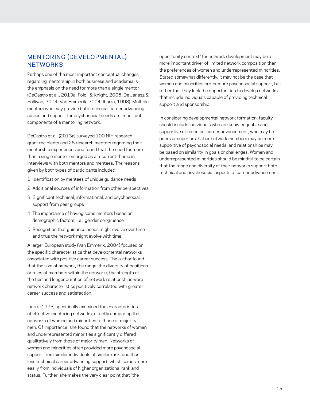## MENTORING (DEVELOPMENTAL) **NETWORKS**

Perhaps one of the most important conceptual changes regarding mentorship in both business and academia is the emphasis on the need for more than a single mentor (DeCastro et al., 2013a; Pololi & Knight, 2005; De Janasz & Sullivan, 2004; Van Emmerik, 2004; Ibarra, 1993). Multiple mentors who may provide both technical career advancing advice and support for psychosocial needs are important components of a mentoring network.

DeCastro et al. (2013a) surveyed 100 NIH research grant recipients and 28 research mentors regarding their mentorship experiences and found that the need for more than a single mentor emerged as a recurrent theme in interviews with both mentors and mentees. The reasons given by both types of participants included:

- 1. Identification by mentees of unique guidance needs
- 2. Additional sources of information from other perspectives
- 3. Significant technical, informational, and psychosocial support from peer groups
- 4. The importance of having some mentors based on demographic factors, i.e., gender congruence
- 5. Recognition that guidance needs might evolve over time and thus the network might evolve with time

A larger European study (Van Emmerik, 2004) focused on the specific characteristics that developmental networks associated with positive career success. The author found that the size of network, the range (the diversity of positions or roles of members within the network), the strength of the ties and longer duration of network relationships were network characteristics positively correlated with greater career success and satisfaction.

Ibarra (1993) specifically examined the characteristics of effective mentoring networks, directly comparing the networks of women and minorities to those of majority men. Of importance, she found that the networks of women and underrepresented minorities significantly differed qualitatively from those of majority men. Networks of women and minorities often provided more psychosocial support from similar individuals of similar rank, and thus less technical career advancing support, which comes more easily from individuals of higher organizational rank and status. Further, she makes the very clear point that "the

opportunity context" for network development may be a more important driver of limited network composition than the preferences of women and underrepresented minorities. Stated somewhat differently, it may not be the case that women and minorities prefer more psychosocial support, but rather that they lack the opportunities to develop networks that include individuals capable of providing technical support and sponsorship.

In considering developmental network formation, faculty should include individuals who are knowledgeable and supportive of technical career advancement, who may be peers or superiors. Other network members may be more supportive of psychosocial needs, and relationships may be based on similarity in goals or challenges. Women and underrepresented minorities should be mindful to be certain that the range and diversity of their networks support both technical and psychosocial aspects of career advancement.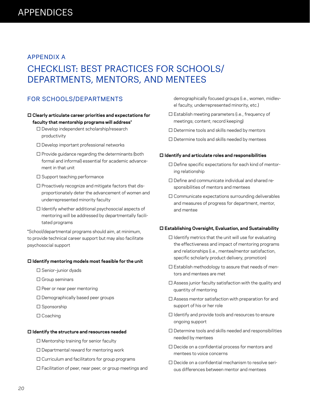# APPENDICES

# APPENDIX A

# CHECKLIST: BEST PRACTICES FOR SCHOOLS/ DEPARTMENTS, MENTORS, AND MENTEES

# FOR SCHOOLS/DEPARTMENTS

#### **□ Clearly articulate career priorities and expectations for faculty that mentorship programs will address\***

- □ Develop independent scholarship/research productivity
- □ Develop important professional networks
- $\square$  Provide guidance regarding the determinants (both formal and informal) essential for academic advancement in that unit
- □ Support teaching performance
- $\square$  Proactively recognize and mitigate factors that disproportionately deter the advancement of women and underrepresented minority faculty
- $\Box$  Identify whether additional psychosocial aspects of mentoring will be addressed by departmentally facilitated programs

\*School/departmental programs should aim, at minimum, to provide technical career support but may also facilitate psychosocial support

#### **□ Identify mentoring models most feasible for the unit**

- □ Senior–junior dyads
- □ Group seminars
- □ Peer or near peer mentoring
- □ Demographically based peer groups
- □ Sponsorship
- □ Coaching

#### **□ Identify the structure and resources needed**

- □ Mentorship training for senior faculty
- $\square$  Departmental reward for mentoring work
- □ Curriculum and facilitators for group programs
- □ Facilitation of peer, near peer, or group meetings and

demographically focused groups (i.e., women, midlevel faculty, underrepresented minority, etc.)

- □ Establish meeting parameters (i.e., frequency of meetings; content; record keeping)
- $\square$  Determine tools and skills needed by mentors
- □ Determine tools and skills needed by mentees

#### **□ Identify and articulate roles and responsibilities**

- □ Define specific expectations for each kind of mentoring relationship
- □ Define and communicate individual and shared responsibilities of mentors and mentees
- $\square$  Communicate expectations surrounding deliverables and measures of progress for department, mentor, and mentee

#### **□ Establishing Oversight, Evaluation, and Sustainability**

- $\square$  Identify metrics that the unit will use for evaluating the effectiveness and impact of mentoring programs and relationships (i.e., mentee/mentor satisfaction, specific scholarly product delivery, promotion)
- $\square$  Establish methodology to assure that needs of mentors and mentees are met
- $\square$  Assess junior faculty satisfaction with the quality and quantity of mentoring
- $\square$  Assess mentor satisfaction with preparation for and support of his or her role
- □ Identify and provide tools and resources to ensure ongoing support
- □ Determine tools and skills needed and responsibilities needed by mentees
- □ Decide on a confidential process for mentors and mentees to voice concerns
- □ Decide on a confidential mechanism to resolve serious differences between mentor and mentees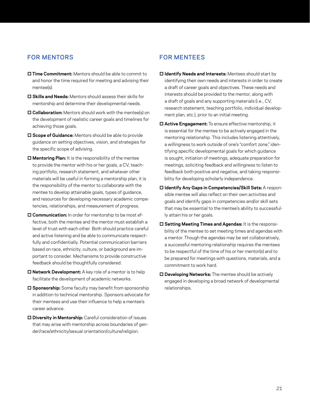# FOR MENTORS

- **□ Time Commitment:** Mentors should be able to commit to and honor the time required for meeting and advising their mentee(s).
- **□ Skills and Needs:** Mentors should assess their skills for mentorship and determine their developmental needs.
- **□ Collaboration:** Mentors should work with the mentee(s) on the development of realistic career goals and timelines for achieving those goals.
- **□ Scope of Guidance:** Mentors should be able to provide guidance on setting objectives, vision, and strategies for the specific scope of advising.
- **□ Mentoring Plan:** It is the responsibility of the mentee to provide the mentor with his or her goals, a CV, teaching portfolio, research statement, and whatever other materials will be useful in forming a mentorship plan; it is the responsibility of the mentor to collaborate with the mentee to develop attainable goals, types of guidance, and resources for developing necessary academic competencies, relationships, and measurement of progress.
- **□ Communication:** In order for mentorship to be most effective, both the mentee and the mentor must establish a level of trust with each other. Both should practice careful and active listening and be able to communicate respectfully and confidentially. Potential communication barriers based on race, ethnicity, culture, or background are important to consider. Mechanisms to provide constructive feedback should be thoughtfully considered.
- **□ Network Development:** A key role of a mentor is to help facilitate the development of academic networks.
- **□ Sponsorship:** Some faculty may benefit from sponsorship in addition to technical mentorship. Sponsors advocate for their mentees and use their influence to help a mentee's career advance.
- **□ Diversity in Mentorship:** Careful consideration of issues that may arise with mentorship across boundaries of gender/race/ethnicity/sexual orientation/culture/religion.

# FOR MENTEES

- **□ Identify Needs and Interests:** Mentees should start by identifying their own needs and interests in order to create a draft of career goals and objectives. These needs and interests should be provided to the mentor, along with a draft of goals and any supporting materials (i.e., CV, research statement, teaching portfolio, individual development plan, etc.), prior to an initial meeting.
- **□ Active Engagement:** To ensure effective mentorship, it is essential for the mentee to be actively engaged in the mentoring relationship. This includes listening attentively, a willingness to work outside of one's "comfort zone," identifying specific developmental goals for which guidance is sought, initiation of meetings, adequate preparation for meetings, soliciting feedback and willingness to listen to feedback both positive and negative, and taking responsibility for developing scholarly independence.
- **□ Identify Any Gaps in Competencies/Skill Sets:** A responsible mentee will also reflect on their own activities and goals and identify gaps in competencies and/or skill sets that may be essential to the mentee's ability to successfully attain his or her goals.
- **□ Setting Meeting Times and Agendas:** It is the responsibility of the mentee to set meeting times and agendas with a mentor. Though the agendas may be set collaboratively, a successful mentoring relationship requires the mentees to be respectful of the time of his or her mentor(s) and to be prepared for meetings with questions, materials, and a commitment to work hard.
- **□ Developing Networks:** The mentee should be actively engaged in developing a broad network of developmental relationships.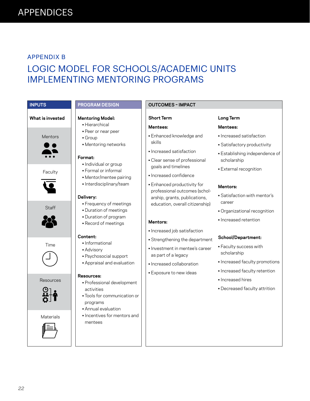## APPENDIX B

# LOGIC MODEL FOR SCHOOLS/ACADEMIC UNITS IMPLEMENTING MENTORING PROGRAMS

**Long Term Mentees:**

scholarship

**Mentors:** 

career

• Increased satisfaction • Satisfactory productivity

• External recognition

• Satisfaction with mentor's

• Organizational recognition

• Increased faculty promotions • Increased faculty retention

• Decreased faculty attrition

• Increased retention

**School/Department:** • Faculty success with

scholarship

• Increased hires

• Establishing independence of

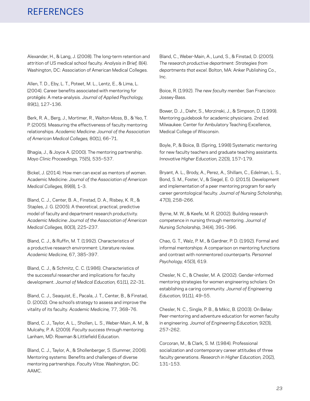# REFERENCES

Alexander, H., & Lang, J. (2008). The long-term retention and attrition of US medical school faculty. *Analysis in Brief,* 8(4). Washington, DC: Association of American Medical Colleges.

Allen, T. D., Eby, L. T., Poteet, M. L., Lentz, E., & Lima, L. (2004). Career benefits associated with mentoring for protégés: A meta-analysis. *Journal of Applied Psychology,*  89(1), 127–136.

Berk, R. A., Berg, J., Mortimer, R., Walton-Moss, B., & Yeo, T. P. (2005). Measuring the effectiveness of faculty mentoring relationships. *Academic Medicine: Journal of the Association of American Medical Colleges,* 80(1), 66–71.

Bhagia, J., & Joyce A. (2000). The mentoring partnership. *Mayo Clinic Proceedings,* 75(5), 535–537.

Bickel, J. (2014). How men can excel as mentors of women. Academic Medicine: *Journal of the Association of American Medical Colleges,* 89(8), 1–3.

Bland, C. J., Center, B. A., Finstad, D. A., Risbey, K. R., & Staples, J. G. (2005). A theoretical, practical, predictive model of faculty and department research productivity. *Academic Medicine: Journal of the Association of American Medical Colleges,* 80(3), 225–237.

Bland, C. J., & Ruffin, M. T. (1992). Characteristics of a productive research environment: Literature review. *Academic Medicine,* 67, 385–397.

Bland, C. J., & Schmitz, C. C. (1986). Characteristics of the successful researcher and implications for faculty development. *Journal of Medical Education,* 61(1), 22–31.

Bland, C. J., Seaquist, E., Pacala, J. T., Center, B., & Finstad, D. (2002). One school's strategy to assess and improve the vitality of its faculty. *Academic Medicine,* 77, 368–76.

Bland, C. J., Taylor, A. L., Shollen, L. S., Weber-Main, A. M., & Mulcahy, P. A. (2009). *Faculty success through mentoring.*  Lanham, MD: Rowman & Littlefield Education.

Bland, C. J., Taylor, A., & Shollenberger, S. (Summer, 2006). Mentoring systems: Benefits and challenges of diverse mentoring partnerships. *Faculty Vitae.* Washington, DC: AAMC.

Bland, C., Weber-Main, A., Lund, S., & Finstad, D. (2005). *The research productive department: Strategies from departments that excel.* Bolton, MA: Anker Publishing Co., Inc.

Boice, R. (1992). *The new faculty member.* San Francisco: Jossey-Bass.

Bower, D. J., Diehr, S., Morzinski, J., & Simpson, D. (1999). Mentoring guidebook for academic physicians. 2nd ed. Milwaukee: Center for Ambulatory Teaching Excellence, Medical College of Wisconsin.

Boyle, P., & Boice, B. (Spring, 1998) Systematic mentoring for new faculty teachers and graduate teaching assistants. *Innovative Higher Education,* 22(3), 157–179.

Bryant, A. L., Brody, A., Perez, A., Shillam, C., Edelman, L. S., Bond, S. M., Foster, V., & Siegel, E. O. (2015). Development and implementation of a peer mentoring program for early career gerontological faculty. *Journal of Nursing Scholarship,*  47(3), 258–266.

Byrne, M. W., & Keefe, M. R. (2002). Building research competence in nursing through mentoring. *Journal of Nursing Scholarship,* 34(4), 391–396.

Chao, G. T., Walz, P. M., & Gardner, P. D. (1992). Formal and informal mentorships: A comparison on mentoring functions and contrast with nonmentored counterparts*. Personnel Psychology,* 45(3), 619.

Chesler, N. C., & Chesler, M. A. (2002). Gender-informed mentoring strategies for women engineering scholars: On establishing a caring community. *Journal of Engineering Education,* 91(1), 49–55.

Chesler, N. C., Single, P. B., & Mikic, B. (2003). On Belay: Peer-mentoring and adventure education for women faculty in engineering. *Journal of Engineering Education,* 92(3), 257–262.

Corcoran, M., & Clark, S. M. (1984). Professional socialization and contemporary career attitudes of three faculty generations. *Research in Higher Education,* 20(2), 131–153.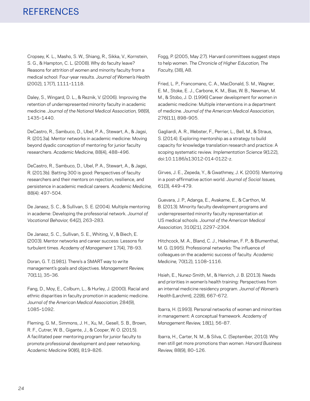# **REFERENCES**

Cropsey, K. L., Masho, S. W., Shiang, R., Sikka, V., Kornstein, S. G., & Hampton, C. L. (2008). Why do faculty leave? Reasons for attrition of women and minority faculty from a medical school: Four-year results. *Journal of Women's Health* (2002), 17(7), 1111–1118.

Daley, S., Wingard, D. L., & Reznik, V. (2006). Improving the retention of underrepresented minority faculty in academic medicine. *Journal of the National Medical Association,* 98(9), 1435–1440.

DeCastro, R., Sambuco, D., Ubel, P. A., Stewart, A., & Jagsi, R. (2013a). Mentor networks in academic medicine: Moving beyond dyadic conception of mentoring for junior faculty researchers. *Academic Medicine,* 88(4), 488–496.

DeCastro, R., Sambuco, D., Ubel, P. A., Stewart, A., & Jagsi, R. (2013b). Batting 300 is good: Perspectives of faculty researchers and their mentors on rejection, resilience, and persistence in academic medical careers. *Academic Medicine,*  88(4): 497–504.

De Janasz, S. C., & Sullivan, S. E. (2004). Multiple mentoring in academe: Developing the professorial network. *Journal of Vocational Behavior,* 64(2), 263–283.

De Janasz, S. C., Sullivan, S. E., Whiting, V., & Biech, E. (2003). Mentor networks and career success: Lessons for turbulent times. *Academy of Management* 17(4), 78–93.

Doran, G. T. (1981). There's a SMART way to write management's goals and objectives. *Management Review,*  70(11), 35–36.

Fang, D., Moy, E., Colburn, L., & Hurley, J. (2000). Racial and ethnic disparities in faculty promotion in academic medicine. *Journal of the American Medical Association,* 284(9), 1085–1092.

Fleming, G. M., Simmons, J. H., Xu, M., Gesell, S. B., Brown, R. F., Cutrer, W. B., Gigante, J., & Cooper, W. O. (2015). A facilitated peer mentoring program for junior faculty to promote professional development and peer networking. *Academic Medicine* 90(6), 819–826.

Fogg, P. (2005, May 27). Harvard committees suggest steps to help women. *The Chronicle of Higher Education, The Faculty,* (38), A8.

Fried, L. P., Francomano, C. A., MacDonald, S. M., Wagner, E. M., Stoke, E. J., Carbone, K. M., Bias, W. B., Newman, M. M., & Stobo, J. D. (1996) Career development for women in academic medicine: Multiple interventions in a department of medicine. *Journal of the American Medical Association,*  276(11), 898–905.

Gagliardi, A. R., Webster, F., Perrier, L., Bell, M., & Straus, S. (2014). Exploring mentorship as a strategy to build capacity for knowledge translation research and practice: A scoping systematic review. *Implementation Science* 9(122), doi:10.1186/s13012-014-0122-z.

Girves, J. E., Zepeda, Y., & Gwathmey, J. K. (2005). Mentoring in a post-affirmative action world. *Journal of Social Issues,*  61(3), 449–479.

Guevara, J. P., Adanga, E., Avakame, E., & Carthon, M. B. (2013). Minority faculty development programs and underrepresented minority faculty representation at US medical schools. *Journal of the American Medical Association,* 310(21), 2297–2304.

Hitchcock, M. A., Bland, C. J., Hekelman, F. P., & Blumenthal, M. G. (1995). Professional networks: The influence of colleagues on the academic success of faculty. *Academic Medicine,* 70(12), 1108–1116.

Hsieh, E., Nunez-Smith, M., & Henrich, J. B. (2013). Needs and priorities in women's health training: Perspectives from an internal medicine residency program. *Journal of Women's Health* (Larchmt), 22(8), 667–672.

Ibarra, H. (1993). Personal networks of women and minorities in management: A conceptual framework. *Academy of Management Review,* 18(1), 56–87.

Ibarra, H., Carter, N. M., & Silva, C. (September, 2010). Why men still get more promotions than women. *Harvard Business Review,* 88(9), 80–126.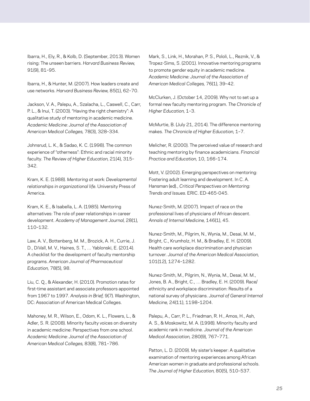Ibarra, H., Ely, R., & Kolb, D. (September, 2013). Women rising: The unseen barriers. *Harvard Business Review,*  91(9), 81–95.

Ibarra, H., & Hunter, M. (2007). How leaders create and use networks. *Harvard Business Review,* 85(1), 62–70.

Jackson, V. A., Palepu, A., Szalacha, L., Caswell, C., Carr, P. L., & Inui, T. (2003). "Having the right chemistry": A qualitative study of mentoring in academic medicine. *Academic Medicine: Journal of the Association of American Medical Colleges,* 78(3), 328–334.

Johnsrud, L. K., & Sadao, K. C. (1998). The common experience of "otherness": Ethnic and racial minority faculty. *The Review of Higher Education,* 21(4), 315– 342.

Kram, K. E. (1988). *Mentoring at work: Developmental relationships in organizational life.* University Press of America.

Kram, K. E., & Isabella, L. A. (1985). Mentoring alternatives: The role of peer relationships in career development. *Academy of Management Journal,* 28(1), 110–132.

Law, A. V., Bottenberg, M. M., Brozick, A. H., Currie, J. D., DiVall, M. V., Haines, S. T., … Yablonski, E. (2014). A checklist for the development of faculty mentorship programs. *American Journal of Pharmaceutical Education,* 78(5), 98.

Liu, C. Q., & Alexander, H. (2010). Promotion rates for first-time assistant and associate professors appointed from 1967 to 1997. *Analysis in Brief,* 9(7). Washington, DC: Association of American Medical Colleges.

Mahoney, M. R., Wilson, E., Odom, K. L., Flowers, L., & Adler, S. R. (2008). Minority faculty voices on diversity in academic medicine: Perspectives from one school. *Academic Medicine: Journal of the Association of American Medical Colleges,* 83(8), 781–786.

Mark, S., Link, H., Morahan, P. S., Pololi, L., Reznik, V., & Tropez-Sims, S. (2001). Innovative mentoring programs to promote gender equity in academic medicine. *Academic Medicine: Journal of the Association of American Medical Colleges,* 76(1), 39–42.

McClurken, J. (October 14, 2009). Why not to set up a formal new faculty mentoring program. *The Chronicle of Higher Education,* 1–3.

McMurtie, B. (July 21, 2014). The difference mentoring makes. *The Chronicle of Higher Education,* 1–7.

Melicher, R. (2000). The perceived value of research and teaching mentoring by finance academicians. *Financial Practice and Education,* 10, 166–174.

Mott, V. (2002). Emerging perspectives on mentoring: Fostering adult learning and development. In C. A. Hansman (ed)., *Critical Perspectives on Mentoring: Trends and Issues.* ERIC. ED-465-045.

Nunez-Smith, M. (2007). Impact of race on the professional lives of physicians of African descent. *Annals of Internal Medicine,* 146(1), 45.

Nunez-Smith, M., Pilgrim, N., Wynia, M., Desai, M. M., Bright, C., Krumholz, H. M., & Bradley, E. H. (2009). Health care workplace discrimination and physician turnover. *Journal of the American Medical Association,*  101(12), 1274–1282.

Nunez-Smith, M., Pilgrim, N., Wynia, M., Desai, M. M., Jones, B. A., Bright, C., … Bradley, E. H. (2009). Race/ ethnicity and workplace discrimination: Results of a national survey of physicians. *Journal of General Internal Medicine,* 24(11), 1198–1204.

Palepu, A., Carr, P. L., Friedman, R. H., Amos, H., Ash, A. S., & Moskowitz, M. A. (1998). Minority faculty and academic rank in medicine. *Journal of the American Medical Association,* 280(9), 767–771.

Patton, L. D. (2009). My sister's keeper: A qualitative examination of mentoring experiences among African American women in graduate and professional schools. *The Journal of Higher Education,* 80(5), 510–537.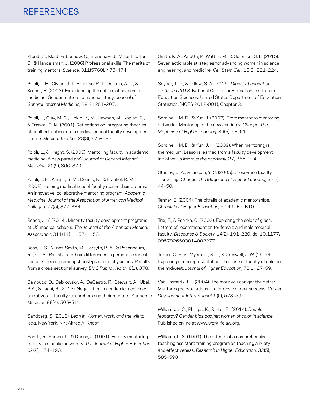# **REFERENCES**

Pfund, C., Maidl Pribbenow, C., Branchaw, J., Miller Lauffer, S., & Handelsman, J. (2006) Professional skills: The merits of training mentors. *Science.* 311(5760), 473–474.

Pololi, L. H., Civian, J. T., Brennan, R. T., Dottolo, A. L., & Krupat, E. (2013). Experiencing the culture of academic medicine: Gender matters, a national study. *Journal of General Internal Medicine,* 28(2), 201–207.

Pololi, L., Clay, M. C., Lipkin Jr., M., Hewson, M., Kaplan, C., & Frankel, R. M. (2001). Reflections on integrating theories of adult education into a medical school faculty development course. *Medical Teacher,* 23(3), 276–283.

Pololi, L., & Knight, S. (2005). Mentoring faculty in academic medicine. A new paradigm? *Journal of General Internal Medicine,* 20(9), 866–870.

Pololi, L. H., Knight, S. M., Dennis, K., & Frankel, R. M. (2002). Helping medical school faculty realize their dreams: An innovative, collaborative mentoring program. *Academic Medicine: Journal of the Association of American Medical Colleges,* 77(5), 377–384.

Reede, J. Y. (2014). Minority faculty development programs at US medical schools. *The Journal of the American Medical Association,* 311(11), 1157–1158.

Ross, J. S., Nunez-Smith, M., Forsyth, B. A., & Rosenbaum, J. R. (2008). Racial and ethnic differences in personal cervical cancer screening amongst post-graduate physicians: Results from a cross-sectional survey. *BMC Public Health,* 8(1), 378.

Sambuco, D., Dabrowsky, A., DeCastro, R., Stewart, A., Ubel, P. A., & Jagsi, R. (2013). Negotiation in academic medicine: narratives of faculty researchers and their mentors. *Academic Medicine* 88(4), 505–511.

Sandberg, S. (2013). *Lean in: Women, work, and the will to lead*. New York, NY: Alfred A. Knopf.

Sands, R., Parson, L., & Duane, J. (1991). Faculty mentoring faculty in a public university. *The Journal of Higher Education,*  62(2), 174–193.

Smith, K. A., Arlotta, P., Watt, F. M., & Solomon, S. L. (2015). Seven actionable strategies for advancing women in science, engineering, and medicine. *Cell Stem Cell,* 16(3), 221–224.

Snyder, T. D., & Dillow, S. A. (2015). *Digest of education statistics 2013.* National Center for Education, Institute of Education Sciences. United States Department of Education Statistics, (NCES 2012-001), Chapter 3.

Sorcinelli, M. D., & Yun, J. (2007). From mentor to mentoring networks: Mentoring in the new academy. *Change: The Magazine of Higher Learning,* 39(6), 58–61.

Sorcinelli, M. D., & Yun, J. H. (2009). When mentoring is the medium: Lessons learned from a faculty development initiative. *To improve the academy,* 27, 365–384.

Stanley, C. A., & Lincoln, Y. S. (2005). Cross-race faculty mentoring. *Change: The Magazine of Higher Learning,* 37(2), 44–50.

Tenner, E. (2004). The pitfalls of academic mentorships. *Chronicle of Higher Education,* 50(49), B7–B10.

Trix, F., & Psenka, C. (2003). Exploring the color of glass: Letters of recommendation for female and male medical faculty. *Discourse & Society,* 14(2), 191–220. doi:10.1177/ 0957926503014002277.

Turner, C. S. V., Myers Jr., S. L., & Creswell, J. W. (1999). Exploring underrepresentation: The case of faculty of color in the midwest. *Journal of Higher Education,* 70(1), 27–59.

Van Emmerik, I. J. (2004). The more you can get the better: Mentoring constellations and intrinsic career success. *Career Development International,* 9(6), 578–594.

Williams, J. C., Phillips, K., & Hall, E . (2014). *Double jeopardy? Gender bias against women of color in science.*  Published online at www.worklifelaw.org.

Williams, L. S. (1991). The effects of a comprehensive teaching assistant training program on teaching anxiety and effectiveness. *Research in Higher Education,* 32(5), 585–598.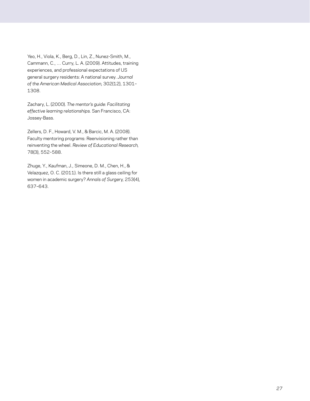Yeo, H., Viola, K., Berg, D., Lin, Z., Nunez-Smith, M., Cammann, C., … Curry, L. A. (2009). Attitudes, training experiences, and professional expectations of US general surgery residents: A national survey. *Journal of the American Medical Association,* 302(12), 1301– 1308.

Zachary, L. (2000). *The mentor's guide: Facilitating effective learning relationships.* San Francisco, CA: Jossey-Bass.

Zellers, D. F., Howard, V. M., & Barcic, M. A. (2008). Faculty mentoring programs: Reenvisioning rather than reinventing the wheel. *Review of Educational Research,*  78(3), 552–588.

Zhuge, Y., Kaufman, J., Simeone, D. M., Chen, H., & Velazquez, O. C. (2011). Is there still a glass ceiling for women in academic surgery? *Annals of Surgery,* 253(4), 637–643.